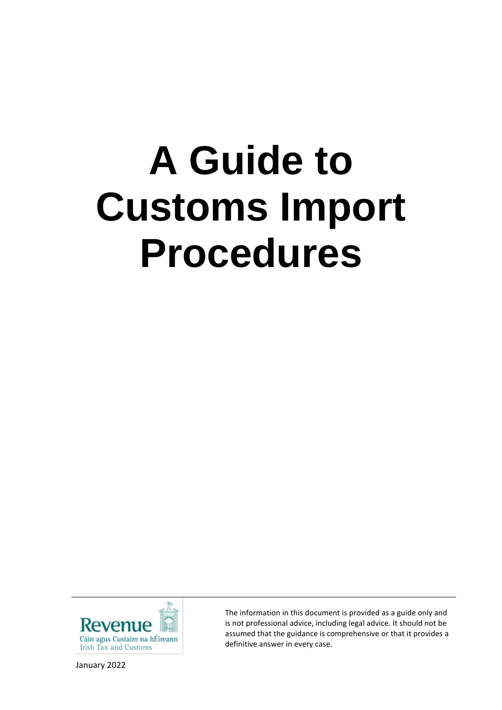# **A Guide to Customs Import Procedures**



January 2022

The information in this document is provided as a guide only and is not professional advice, including legal advice. It should not be assumed that the guidance is comprehensive or that it provides a definitive answer in every case.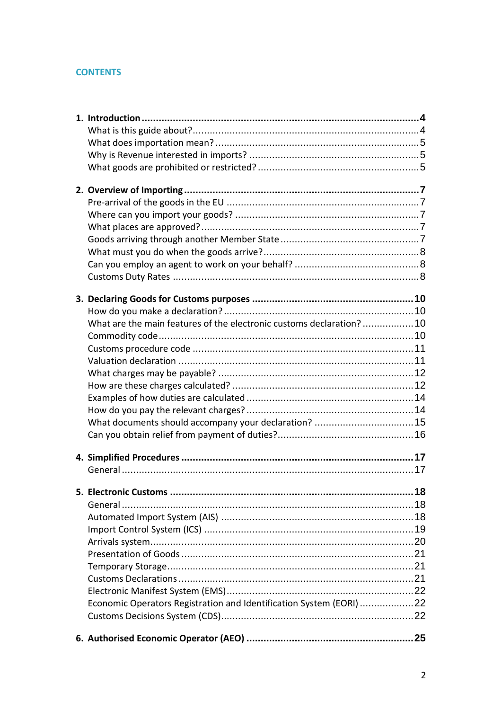# **CONTENTS**

| What are the main features of the electronic customs declaration?10 |  |
|---------------------------------------------------------------------|--|
|                                                                     |  |
|                                                                     |  |
|                                                                     |  |
|                                                                     |  |
|                                                                     |  |
|                                                                     |  |
|                                                                     |  |
|                                                                     |  |
|                                                                     |  |
|                                                                     |  |
|                                                                     |  |
|                                                                     |  |
|                                                                     |  |
|                                                                     |  |
|                                                                     |  |
|                                                                     |  |
|                                                                     |  |
|                                                                     |  |
|                                                                     |  |
|                                                                     |  |
|                                                                     |  |
|                                                                     |  |
| Economic Operators Registration and Identification System (EORI) 22 |  |
|                                                                     |  |
|                                                                     |  |
|                                                                     |  |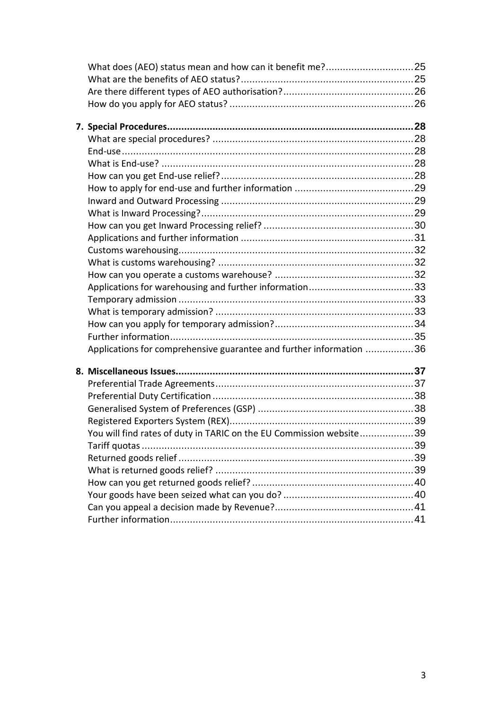| Applications for comprehensive guarantee and further information 36 |  |
|---------------------------------------------------------------------|--|
|                                                                     |  |
|                                                                     |  |
|                                                                     |  |
|                                                                     |  |
|                                                                     |  |
|                                                                     |  |
| You will find rates of duty in TARIC on the EU Commission website39 |  |
|                                                                     |  |
|                                                                     |  |
|                                                                     |  |
|                                                                     |  |
|                                                                     |  |
|                                                                     |  |
|                                                                     |  |
|                                                                     |  |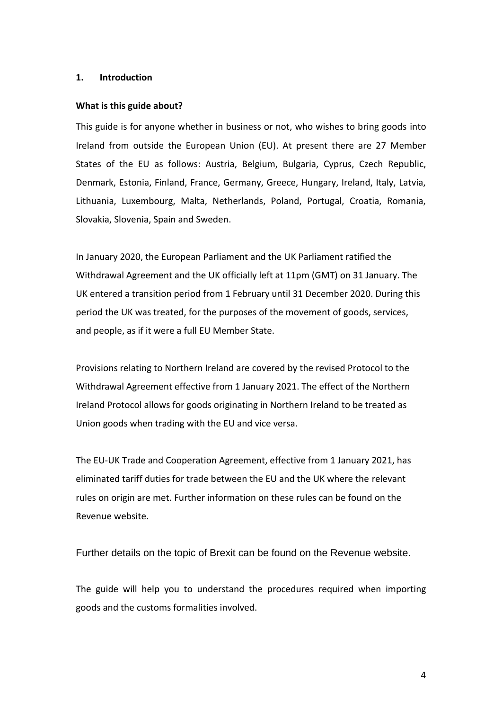#### <span id="page-3-0"></span>**1. Introduction**

#### <span id="page-3-1"></span>**What is this guide about?**

This guide is for anyone whether in business or not, who wishes to bring goods into Ireland from outside the European Union (EU). At present there are 27 Member States of the EU as follows: Austria, Belgium, Bulgaria, Cyprus, Czech Republic, Denmark, Estonia, Finland, France, Germany, Greece, Hungary, Ireland, Italy, Latvia, Lithuania, Luxembourg, Malta, Netherlands, Poland, Portugal, Croatia, Romania, Slovakia, Slovenia, Spain and Sweden.

In January 2020, the European Parliament and the UK Parliament ratified the Withdrawal Agreement and the UK officially left at 11pm (GMT) on 31 January. The UK entered a transition period from 1 February until 31 December 2020. During this period the UK was treated, for the purposes of the movement of goods, services, and people, as if it were a full EU Member State.

Provisions relating to Northern Ireland are covered by the revised Protocol to the Withdrawal Agreement effective from 1 January 2021. The effect of the Northern Ireland Protocol allows for goods originating in Northern Ireland to be treated as Union goods when trading with the EU and vice versa.

The EU-UK Trade and Cooperation Agreement, effective from 1 January 2021, has eliminated tariff duties for trade between the EU and the UK where the relevant rules on origin are met. Further information on these rules can be found on the Revenue website.

Further details on the topic of Brexit can be found on the Revenue website.

The guide will help you to understand the procedures required when importing goods and the customs formalities involved.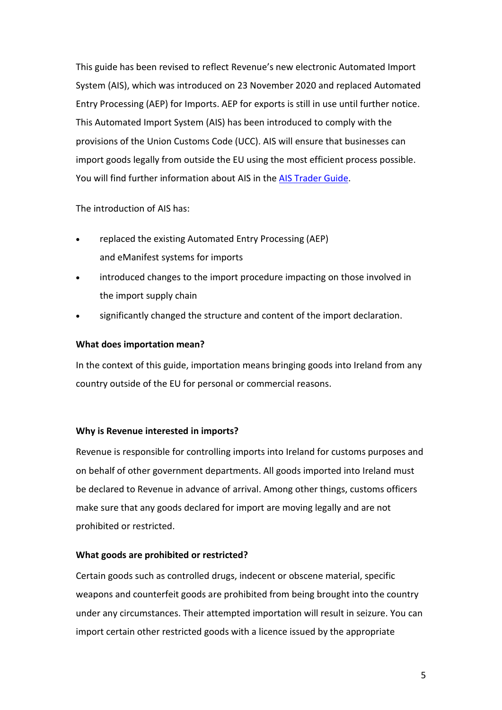This guide has been revised to reflect Revenue's new electronic Automated Import System (AIS), which was introduced on 23 November 2020 and replaced Automated Entry Processing (AEP) for Imports. AEP for exports is still in use until further notice. This Automated Import System (AIS) has been introduced to comply with the provisions of the [Union Customs Code \(UCC\).](https://www.revenue.ie/en/tax-professionals/legislation/union-customs-code/index.aspx) AIS will ensure that businesses can import goods legally from outside the EU using the most efficient process possible. You will find further information about AIS in the [AIS Trader Guide.](https://www.revenue.ie/en/online-services/support/software-developers/documents/ais/ais-trader-guide.pdf)

The introduction of AIS has:

- replaced the existing [Automated Entry Processing \(AEP\)](https://www.revenue.ie/en/customs-traders-and-agents/customs-electronic-systems/index.aspx) and [eManifest](https://www.revenue.ie/en/customs-traders-and-agents/customs-electronic-systems/emanifest.aspx) systems for imports
- introduced changes to the import procedure impacting on those involved in the import supply chain
- significantly changed the structure and content of the import declaration.

## <span id="page-4-0"></span>**What does importation mean?**

In the context of this guide, importation means bringing goods into Ireland from any country outside of the EU for personal or commercial reasons.

# <span id="page-4-1"></span>**Why is Revenue interested in imports?**

Revenue is responsible for controlling imports into Ireland for customs purposes and on behalf of other government departments. All goods imported into Ireland must be declared to Revenue in advance of arrival. Among other things, customs officers make sure that any goods declared for import are moving legally and are not prohibited or restricted.

# <span id="page-4-2"></span>**What goods are prohibited or restricted?**

Certain goods such as controlled drugs, indecent or obscene material, specific weapons and counterfeit goods are prohibited from being brought into the country under any circumstances. Their attempted importation will result in seizure. You can import certain other restricted goods with a licence issued by the appropriate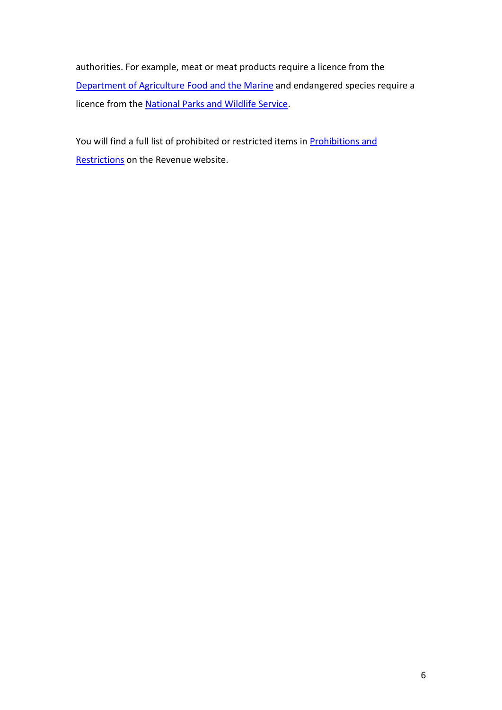authorities. For example, meat or meat products require a licence from the [Department of Agriculture Food and the Marine](http://www.agriculture.gov.ie/) and endangered species require a licence from the [National Parks and Wildlife Service.](http://www.npws.ie/)

You will find a full list of prohibited or restricted items in **Prohibitions and** [Restrictions](http://www.revenue.ie/en/customs/prohibitions-restrictions/index.html) on the Revenue website.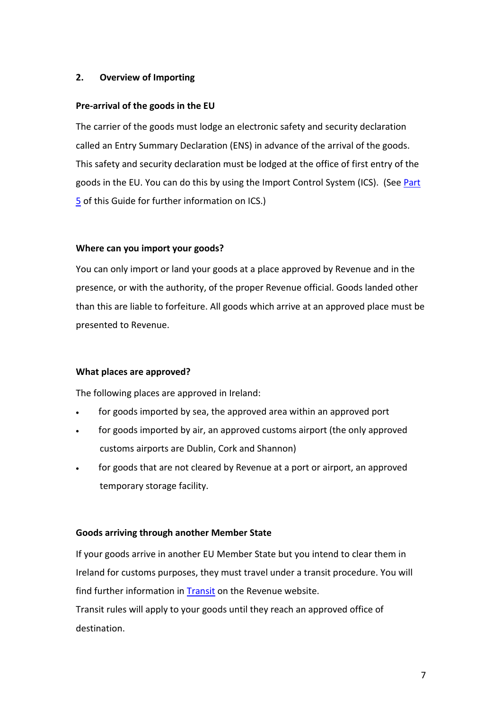## <span id="page-6-0"></span>**2. Overview of Importing**

## <span id="page-6-1"></span>**Pre-arrival of the goods in the EU**

The carrier of the goods must lodge an electronic safety and security declaration called an Entry Summary Declaration (ENS) in advance of the arrival of the goods. This safety and security declaration must be lodged at the office of first entry of the goods in the EU. You can do this by using the Import Control System (ICS). (See [Part](#page-18-0)  [5](#page-18-0) of this Guide for further information on ICS.)

## <span id="page-6-2"></span>**Where can you import your goods?**

You can only import or land your goods at a place approved by Revenue and in the presence, or with the authority, of the proper Revenue official. Goods landed other than this are liable to forfeiture. All goods which arrive at an approved place must be presented to Revenue.

#### <span id="page-6-3"></span>**What places are approved?**

The following places are approved in Ireland:

- for goods imported by sea, the approved area within an approved port
- for goods imported by air, an approved customs airport (the only approved customs airports are Dublin, Cork and Shannon)
- for goods that are not cleared by Revenue at a port or airport, an approved temporary storage facility.

#### <span id="page-6-4"></span>**Goods arriving through another Member State**

If your goods arrive in another EU Member State but you intend to clear them in Ireland for customs purposes, they must travel under a transit procedure. You will find further information in [Transit](https://www.revenue.ie/en/customs-traders-and-agents/transit/index.aspx) on the Revenue website.

Transit rules will apply to your goods until they reach an approved office of destination.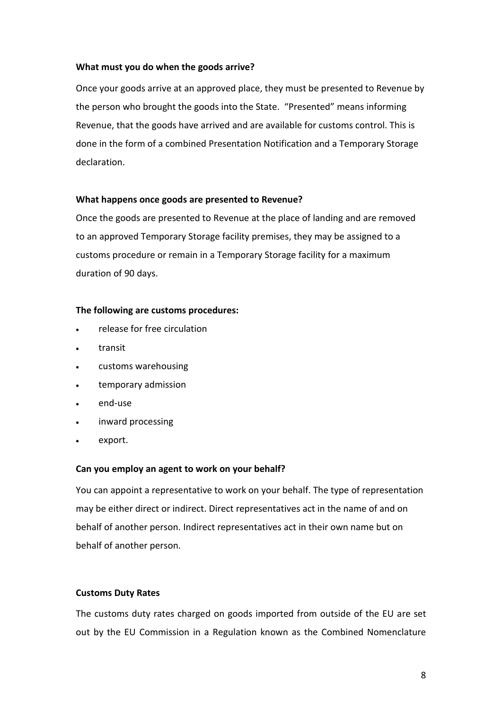### <span id="page-7-0"></span>**What must you do when the goods arrive?**

Once your goods arrive at an approved place, they must be presented to Revenue by the person who brought the goods into the State. "Presented" means informing Revenue, that the goods have arrived and are available for customs control. This is done in the form of a combined Presentation Notification and a Temporary Storage declaration.

## **What happens once goods are presented to Revenue?**

Once the goods are presented to Revenue at the place of landing and are removed to an approved Temporary Storage facility premises, they may be assigned to a customs procedure or remain in a Temporary Storage facility for a maximum duration of 90 days.

#### **The following are customs procedures:**

- release for free circulation
- transit
- customs warehousing
- temporary admission
- end-use
- inward processing
- export.

#### <span id="page-7-1"></span>**Can you employ an agent to work on your behalf?**

You can appoint a representative to work on your behalf. The type of representation may be either direct or indirect. Direct representatives act in the name of and on behalf of another person. Indirect representatives act in their own name but on behalf of another person.

#### <span id="page-7-2"></span>**Customs Duty Rates**

The customs duty rates charged on goods imported from outside of the EU are set out by the EU Commission in a Regulation known as the Combined Nomenclature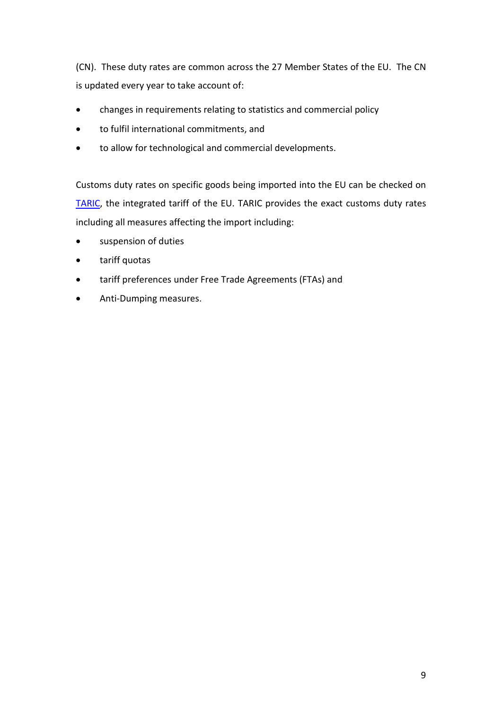(CN). These duty rates are common across the 27 Member States of the EU. The CN is updated every year to take account of:

- changes in requirements relating to statistics and commercial policy
- to fulfil international commitments, and
- to allow for technological and commercial developments.

Customs duty rates on specific goods being imported into the EU can be checked on [TARIC,](http://ec.europa.eu/taxation_customs/dds2/taric/taric_consultation.jsp?Lang=en) the integrated tariff of the EU. TARIC provides the exact customs duty rates including all measures affecting the import including:

- suspension of duties
- tariff quotas
- tariff preferences under Free Trade Agreements (FTAs) and
- Anti-Dumping measures.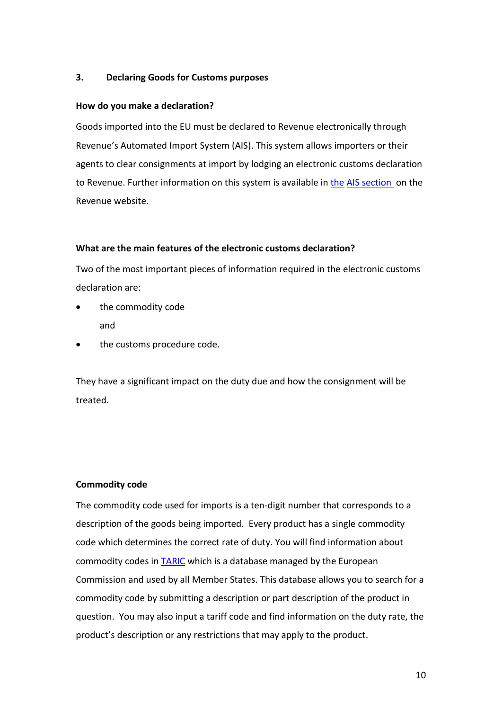## <span id="page-9-0"></span>**3. Declaring Goods for Customs purposes**

#### <span id="page-9-1"></span>**How do you make a declaration?**

Goods imported into the EU must be declared to Revenue electronically through Revenue's Automated Import System (AIS). This system allows importers or their agents to clear consignments at import by lodging an electronic customs declaration to Revenue. Further information on this system is available in [the](https://www.revenue.ie/en/customs-traders-and-agents/customs-electronic-systems/aep/direct-trader-input.aspx) [AIS section](https://www.revenue.ie/en/customs-traders-and-agents/customs-electronic-systems/index.aspx) on the Revenue website.

## <span id="page-9-2"></span>**What are the main features of the electronic customs declaration?**

Two of the most important pieces of information required in the electronic customs declaration are:

- the commodity code and
- the customs procedure code.

They have a significant impact on the duty due and how the consignment will be treated.

# <span id="page-9-3"></span>**Commodity code**

The commodity code used for imports is a ten-digit number that corresponds to a description of the goods being imported. Every product has a single commodity code which determines the correct rate of duty. You will find information about commodity codes in [TARIC](http://ec.europa.eu/taxation_customs/dds2/taric/taric_consultation.jsp?Lang=en) which is a database managed by the European Commission and used by all Member States. This database allows you to search for a commodity code by submitting a description or part description of the product in question. You may also input a tariff code and find information on the duty rate, the product's description or any restrictions that may apply to the product.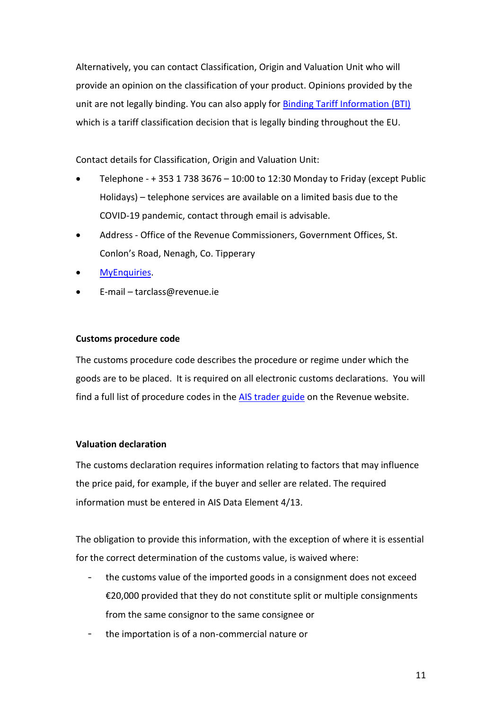Alternatively, you can contact Classification, Origin and Valuation Unit who will provide an opinion on the classification of your product. Opinions provided by the unit are not legally binding. You can also apply for [Binding Tariff Information \(BTI\)](https://www.revenue.ie/en/customs-traders-and-agents/importing-and-exporting/binding-tarrif-information-bti/index.aspx) which is a tariff classification decision that is legally binding throughout the EU.

Contact details for Classification, Origin and Valuation Unit:

- Telephone + 353 1 738 3676 10:00 to 12:30 Monday to Friday (except Public Holidays) – telephone services are available on a limited basis due to the COVID-19 pandemic, contact through email is advisable.
- Address Office of the Revenue Commissioners, Government Offices, St. Conlon's Road, Nenagh, Co. Tipperary
- [MyEnquiries.](https://www.revenue.ie/en/online-services/services/manage-your-record/myenquiries.aspx)
- E-mail tarclass@revenue.ie

#### <span id="page-10-0"></span>**Customs procedure code**

The customs procedure code describes the procedure or regime under which the goods are to be placed. It is required on all electronic customs declarations. You will find a full list of procedure codes in the [AIS trader guide](https://www.revenue.ie/en/online-services/support/software-developers/documents/ais/ais-trader-guide.pdf) on the Revenue website.

#### <span id="page-10-1"></span>**Valuation declaration**

The customs declaration requires information relating to factors that may influence the price paid, for example, if the buyer and seller are related. The required information must be entered in AIS Data Element 4/13.

The obligation to provide this information, with the exception of where it is essential for the correct determination of the customs value, is waived where:

- the customs value of the imported goods in a consignment does not exceed €20,000 provided that they do not constitute split or multiple consignments from the same consignor to the same consignee or
- the importation is of a non-commercial nature or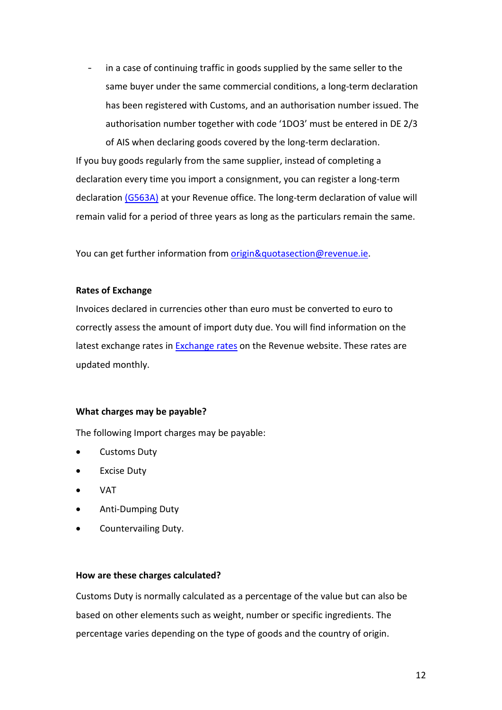$\sim$ in a case of continuing traffic in goods supplied by the same seller to the same buyer under the same commercial conditions, a [long-term declaration](https://www.revenue.ie/en/customs-traders-and-agents/documents/c-and-e-g563a.pdf) has been registered with Customs, and an authorisation number issued. The authorisation number together with code '1DO3' must be entered in DE 2/3 of AIS when declaring goods covered by the long-term declaration.

If you buy goods regularly from the same supplier, instead of completing a declaration every time you import a consignment, you can register a long-term declaration [\(G563A\)](https://www.revenue.ie/en/customs-traders-and-agents/documents/c-and-e-g563a.pdf) at your Revenue office. The long-term declaration of value will remain valid for a period of three years as long as the particulars remain the same.

You can get further information from [origin&quotasection@revenue.ie.](mailto:origin"asection@revenue.ie)

#### **Rates of Exchange**

Invoices declared in currencies other than euro must be converted to euro to correctly assess the amount of import duty due. You will find information on the latest exchange rates in [Exchange rates](https://www.revenue.ie/en/customs-traders-and-agents/importing-and-exporting/exchange-rates/index.aspx) on the Revenue website. These rates are updated monthly.

#### <span id="page-11-0"></span>**What charges may be payable?**

The following Import charges may be payable:

- Customs Duty
- **Excise Duty**
- VAT
- Anti-Dumping Duty
- Countervailing Duty.

#### <span id="page-11-1"></span>**How are these charges calculated?**

Customs Duty is normally calculated as a percentage of the value but can also be based on other elements such as weight, number or specific ingredients. The percentage varies depending on the type of goods and the country of origin.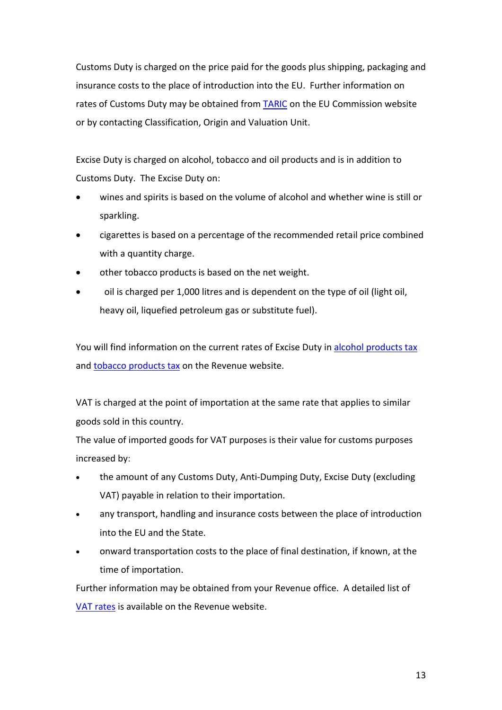Customs Duty is charged on the price paid for the goods plus shipping, packaging and insurance costs to the place of introduction into the EU. Further information on rates of Customs Duty may be obtained from **TARIC** on the EU Commission website or by contacting Classification, Origin and Valuation Unit.

Excise Duty is charged on alcohol, tobacco and oil products and is in addition to Customs Duty. The Excise Duty on:

- wines and spirits is based on the volume of alcohol and whether wine is still or sparkling.
- cigarettes is based on a percentage of the recommended retail price combined with a quantity charge.
- other tobacco products is based on the net weight.
- oil is charged per 1,000 litres and is dependent on the type of oil (light oil, heavy oil, liquefied petroleum gas or substitute fuel).

You will find information on the current rates of Excise Duty in [alcohol products tax](https://www.revenue.ie/en/companies-and-charities/excise-and-licences/excise-duty-rates/alcohol-products-tax.aspx) and [tobacco products tax](https://www.revenue.ie/en/companies-and-charities/excise-and-licences/excise-duty-rates/tobacco-products-tax.aspx) on the Revenue website.

VAT is charged at the point of importation at the same rate that applies to similar goods sold in this country.

The value of imported goods for VAT purposes is their value for customs purposes increased by:

- the amount of any Customs Duty, Anti-Dumping Duty, Excise Duty (excluding VAT) payable in relation to their importation.
- any transport, handling and insurance costs between the place of introduction into the EU and the State.
- onward transportation costs to the place of final destination, if known, at the time of importation.

Further information may be obtained from your Revenue office. A detailed list of [VAT rates](https://www.revenue.ie/en/vat/vat-rates/index.aspx) is available on the Revenue website.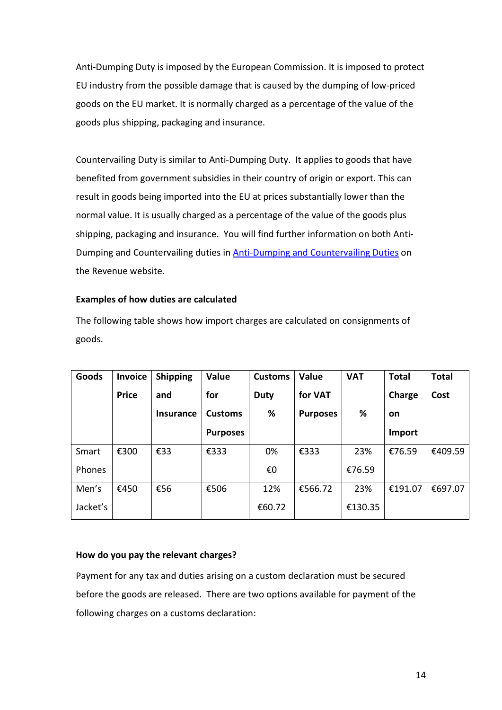Anti-Dumping Duty is imposed by the European Commission. It is imposed to protect EU industry from the possible damage that is caused by the dumping of low-priced goods on the EU market. It is normally charged as a percentage of the value of the goods plus shipping, packaging and insurance.

Countervailing Duty is similar to Anti-Dumping Duty. It applies to goods that have benefited from government subsidies in their country of origin or export. This can result in goods being imported into the EU at prices substantially lower than the normal value. It is usually charged as a percentage of the value of the goods plus shipping, packaging and insurance. You will find further information on both Anti-Dumping and Countervailing duties in [Anti-Dumping and Countervailing Duties](https://www.revenue.ie/en/customs-traders-and-agents/importing-and-exporting/anti-dumping-and-countervailing-duty/index.aspx) on the Revenue website.

#### <span id="page-13-0"></span>**Examples of how duties are calculated**

The following table shows how import charges are calculated on consignments of goods.

| Goods    | <b>Invoice</b> | <b>Shipping</b>  | Value           | <b>Customs</b> | <b>Value</b>    | <b>VAT</b> | <b>Total</b> | <b>Total</b> |
|----------|----------------|------------------|-----------------|----------------|-----------------|------------|--------------|--------------|
|          | <b>Price</b>   | and              | for             | <b>Duty</b>    | for VAT         |            | Charge       | Cost         |
|          |                | <b>Insurance</b> | <b>Customs</b>  | %              | <b>Purposes</b> | ℅          | on           |              |
|          |                |                  | <b>Purposes</b> |                |                 |            | Import       |              |
| Smart    | €300           | €33              | €333            | 0%             | €333            | 23%        | €76.59       | €409.59      |
| Phones   |                |                  |                 | €0             |                 | €76.59     |              |              |
| Men's    | €450           | €56              | €506            | 12%            | €566.72         | 23%        | €191.07      | €697.07      |
| Jacket's |                |                  |                 | €60.72         |                 | €130.35    |              |              |

#### <span id="page-13-1"></span>**How do you pay the relevant charges?**

Payment for any tax and duties arising on a custom declaration must be secured before the goods are released. There are two options available for payment of the following charges on a customs declaration: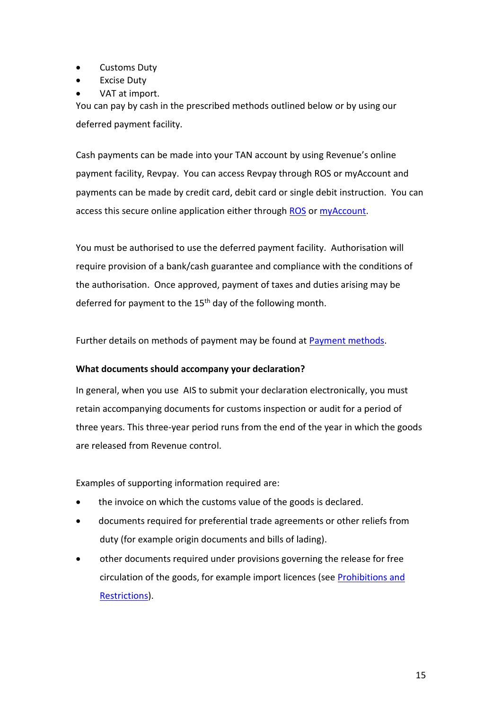- Customs Duty
- **Excise Duty**
- VAT at import.

You can pay by cash in the prescribed methods outlined below or by using our deferred payment facility.

Cash payments can be made into your TAN account by using Revenue's online payment facility, Revpay. You can access Revpay through ROS or myAccount and payments can be made by credit card, debit card or single debit instruction. You can access this secure online application either through [ROS](https://www.ros.ie/oidc/login/noCertsFound?lang=en&client_id=rosint_rp) or [myAccount.](https://www.ros.ie/myaccount-web/sign_in.html?execution=e2s1)

You must be authorised to use the deferred payment facility. Authorisation will require provision of a bank/cash guarantee and compliance with the conditions of the authorisation. Once approved, payment of taxes and duties arising may be deferred for payment to the 15<sup>th</sup> day of the following month.

Further details on methods of payment may be found at **Payment methods**.

#### <span id="page-14-0"></span>**What documents should accompany your declaration?**

In general, when you use AIS to submit your declaration electronically, you must retain accompanying documents for customs inspection or audit for a period of three years. This three-year period runs from the end of the year in which the goods are released from Revenue control.

Examples of supporting information required are:

- the invoice on which the customs value of the goods is declared.
- documents required for preferential trade agreements or other reliefs from duty (for example origin documents and bills of lading).
- other documents required under provisions governing the release for free circulation of the goods, for example import licences (see [Prohibitions and](http://www.revenue.ie/en/customs/prohibitions-restrictions/index.html)  [Restrictions\)](http://www.revenue.ie/en/customs/prohibitions-restrictions/index.html).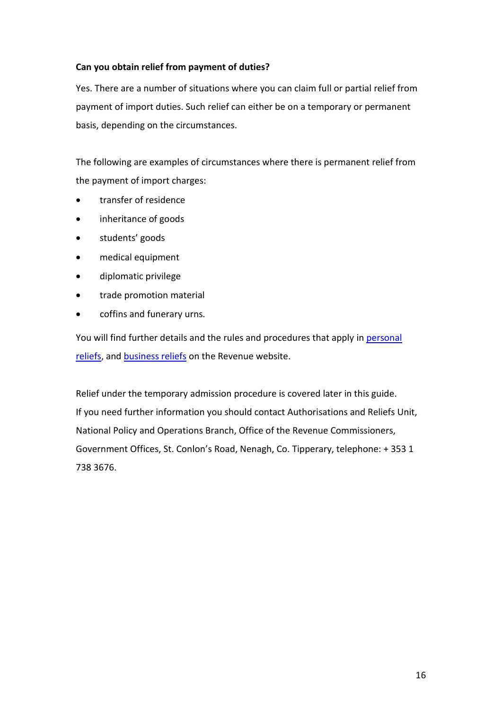## <span id="page-15-0"></span>**Can you obtain relief from payment of duties?**

Yes. There are a number of situations where you can claim full or partial relief from payment of import duties. Such relief can either be on a temporary or permanent basis, depending on the circumstances.

The following are examples of circumstances where there is permanent relief from the payment of import charges:

- transfer of residence
- inheritance of goods
- students' goods
- medical equipment
- diplomatic privilege
- trade promotion material
- coffins and funerary urns.

You will find further details and the rules and procedures that apply i[n personal](https://www.revenue.ie/en/importing-vehicles-duty-free-allowances/personal-relief-from-customs-duty-and-vat/index.aspx)  [reliefs,](https://www.revenue.ie/en/importing-vehicles-duty-free-allowances/personal-relief-from-customs-duty-and-vat/index.aspx) and [business reliefs](https://www.revenue.ie/en/customs-traders-and-agents/relief-from-customs-duty-and-vat/index.aspx) on the Revenue website.

Relief under the temporary admission procedure is covered later in this guide. If you need further information you should contact Authorisations and Reliefs Unit, National Policy and Operations Branch, Office of the Revenue Commissioners, Government Offices, St. Conlon's Road, Nenagh, Co. Tipperary, telephone: + 353 1 738 3676.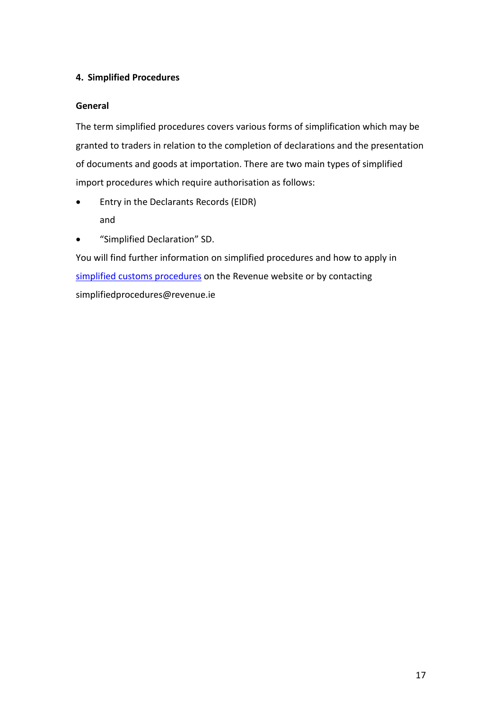# <span id="page-16-0"></span>**4. Simplified Procedures**

# <span id="page-16-1"></span>**General**

The term simplified procedures covers various forms of simplification which may be granted to traders in relation to the completion of declarations and the presentation of documents and goods at importation. There are two main types of simplified import procedures which require authorisation as follows:

- Entry in the Declarants Records (EIDR) and
- "Simplified Declaration" SD.

You will find further information on simplified procedures and how to apply in [simplified customs procedures](https://www.revenue.ie/en/customs-traders-and-agents/simplified-customs-procedures/index.aspx) on the Revenue website or by contacting simplifiedprocedures@revenue.ie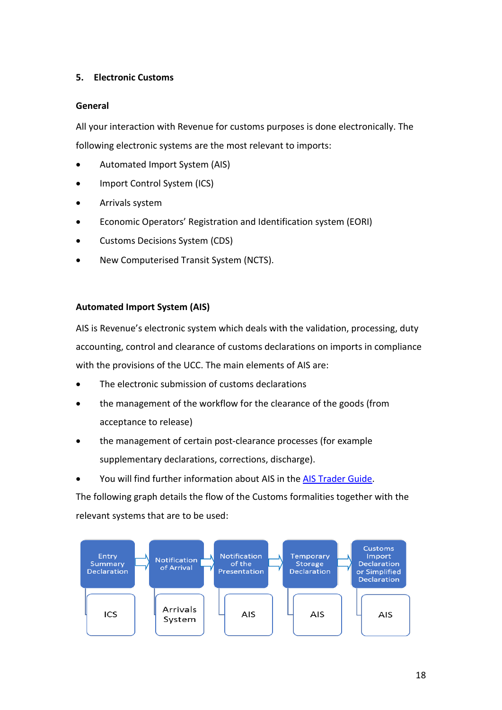# <span id="page-17-0"></span>**5. Electronic Customs**

## <span id="page-17-1"></span>**General**

All your interaction with Revenue for customs purposes is done electronically. The following electronic systems are the most relevant to imports:

- Automated Import System (AIS)
- Import Control System (ICS)
- Arrivals system
- Economic Operators' Registration and Identification system (EORI)
- Customs Decisions System (CDS)
- New Computerised Transit System (NCTS).

# <span id="page-17-2"></span>**Automated Import System (AIS)**

AIS is Revenue's electronic system which deals with the validation, processing, duty accounting, control and clearance of customs declarations on imports in compliance with the provisions of the UCC. The main elements of AIS are:

- The electronic submission of customs declarations
- the management of the workflow for the clearance of the goods (from acceptance to release)
- the management of certain post-clearance processes (for example supplementary declarations, corrections, discharge).
- You will find further information about AIS in the [AIS Trader Guide.](https://www.revenue.ie/en/online-services/support/software-developers/documents/ais/ais-trader-guide.pdf)

The following graph details the flow of the Customs formalities together with the relevant systems that are to be used:

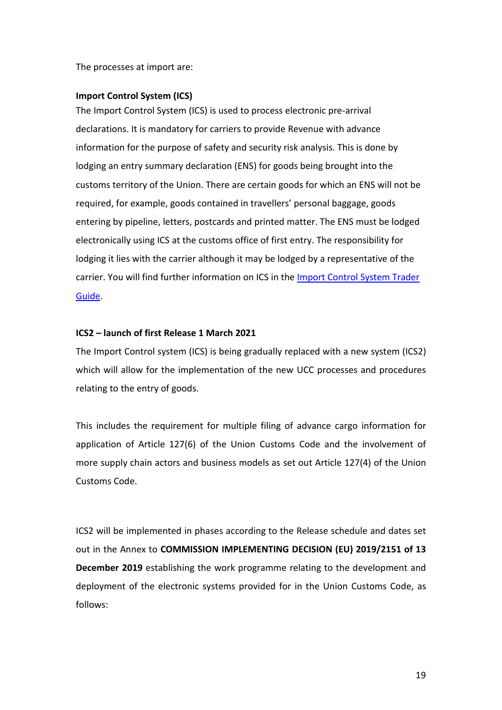The processes at import are:

#### <span id="page-18-0"></span>**Import Control System (ICS)**

The Import Control System (ICS) is used to process electronic pre-arrival declarations. It is mandatory for carriers to provide Revenue with advance information for the purpose of safety and security risk analysis. This is done by lodging an entry summary declaration (ENS) for goods being brought into the customs territory of the Union. There are certain goods for which an ENS will not be required, for example, goods contained in travellers' personal baggage, goods entering by pipeline, letters, postcards and printed matter. The ENS must be lodged electronically using ICS at the customs office of first entry. The responsibility for lodging it lies with the carrier although it may be lodged by a representative of the carrier. You will find further information on ICS in the [Import Control System Trader](https://www.revenue.ie/en/customs-traders-and-agents/documents/electronic/ics-trade-guide.pdf)  [Guide.](https://www.revenue.ie/en/customs-traders-and-agents/documents/electronic/ics-trade-guide.pdf)

#### **ICS2 – launch of first Release 1 March 2021**

The Import Control system (ICS) is being gradually replaced with a new system (ICS2) which will allow for the implementation of the new UCC processes and procedures relating to the entry of goods.

This includes the requirement for multiple filing of advance cargo information for application of Article 127(6) of the Union Customs Code and the involvement of more supply chain actors and business models as set out Article 127(4) of the Union Customs Code.

ICS2 will be implemented in phases according to the Release schedule and dates set out in the Annex to **COMMISSION IMPLEMENTING DECISION (EU) 2019/2151 of 13 December 2019** establishing the work programme relating to the development and deployment of the electronic systems provided for in the Union Customs Code, as follows: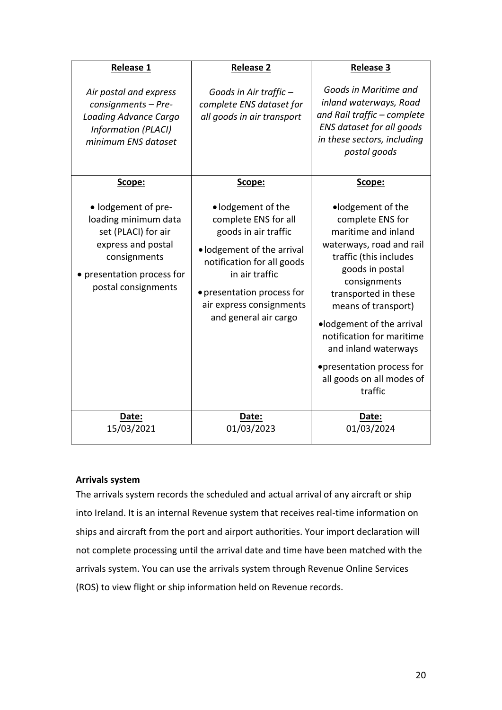| <b>Release 1</b>                                                                                                                                            | <b>Release 2</b>                                                                                                                                                                                                                    | <b>Release 3</b>                                                                                                                                                                                                                                                                                                                                            |
|-------------------------------------------------------------------------------------------------------------------------------------------------------------|-------------------------------------------------------------------------------------------------------------------------------------------------------------------------------------------------------------------------------------|-------------------------------------------------------------------------------------------------------------------------------------------------------------------------------------------------------------------------------------------------------------------------------------------------------------------------------------------------------------|
| Air postal and express<br>consignments - Pre-<br>Loading Advance Cargo<br>Information (PLACI)<br>minimum ENS dataset                                        | Goods in Air traffic -<br>complete ENS dataset for<br>all goods in air transport                                                                                                                                                    | Goods in Maritime and<br>inland waterways, Road<br>and Rail traffic - complete<br>ENS dataset for all goods<br>in these sectors, including<br>postal goods                                                                                                                                                                                                  |
| Scope:                                                                                                                                                      | Scope:                                                                                                                                                                                                                              | Scope:                                                                                                                                                                                                                                                                                                                                                      |
| · lodgement of pre-<br>loading minimum data<br>set (PLACI) for air<br>express and postal<br>consignments<br>presentation process for<br>postal consignments | • lodgement of the<br>complete ENS for all<br>goods in air traffic<br>· lodgement of the arrival<br>notification for all goods<br>in air traffic<br>• presentation process for<br>air express consignments<br>and general air cargo | •lodgement of the<br>complete ENS for<br>maritime and inland<br>waterways, road and rail<br>traffic (this includes<br>goods in postal<br>consignments<br>transported in these<br>means of transport)<br>·lodgement of the arrival<br>notification for maritime<br>and inland waterways<br>•presentation process for<br>all goods on all modes of<br>traffic |
| Date:<br>15/03/2021                                                                                                                                         | Date:<br>01/03/2023                                                                                                                                                                                                                 | Date:<br>01/03/2024                                                                                                                                                                                                                                                                                                                                         |

# <span id="page-19-0"></span>**Arrivals system**

The arrivals system records the scheduled and actual arrival of any aircraft or ship into Ireland. It is an internal Revenue system that receives real-time information on ships and aircraft from the port and airport authorities. Your import declaration will not complete processing until the arrival date and time have been matched with the arrivals system. You can use the arrivals system through Revenue Online Services (ROS) to view flight or ship information held on Revenue records.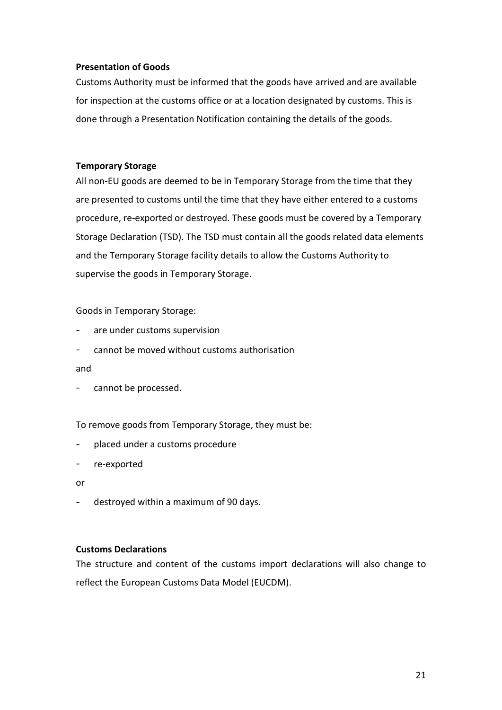## <span id="page-20-0"></span>**Presentation of Goods**

Customs Authority must be informed that the goods have arrived and are available for inspection at the customs office or at a location designated by customs. This is done through a Presentation Notification containing the details of the goods.

## <span id="page-20-1"></span>**Temporary Storage**

All non-EU goods are deemed to be in Temporary Storage from the time that they are presented to customs until the time that they have either entered to a customs procedure, re-exported or destroyed. These goods must be covered by a Temporary Storage Declaration (TSD). The TSD must contain all the goods related data elements and the Temporary Storage facility details to allow the Customs Authority to supervise the goods in Temporary Storage.

Goods in Temporary Storage:

- are under customs supervision
- cannot be moved without customs authorisation
- and
- cannot be processed.

To remove goods from Temporary Storage, they must be:

- placed under a customs procedure  $\blacksquare$
- re-exported
- or
- destroyed within a maximum of 90 days.

#### <span id="page-20-2"></span>**Customs Declarations**

The structure and content of the customs import declarations will also change to reflect the European Customs Data Model (EUCDM).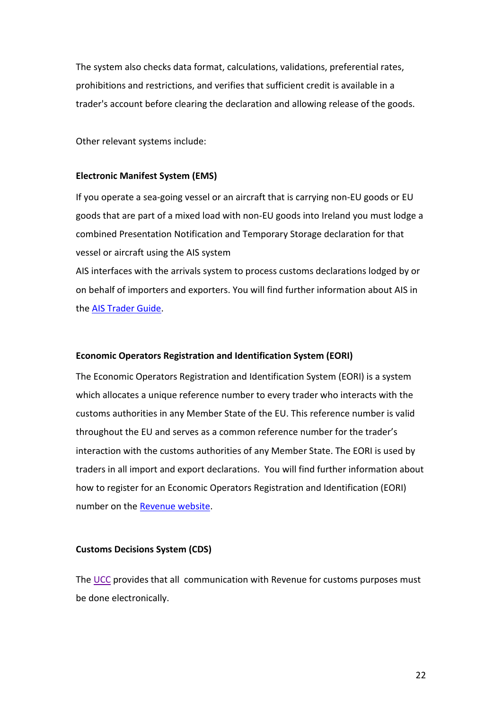The system also checks data format, calculations, validations, preferential rates, prohibitions and restrictions, and verifies that sufficient credit is available in a trader's account before clearing the declaration and allowing release of the goods.

Other relevant systems include:

#### <span id="page-21-0"></span>**Electronic Manifest System (EMS)**

If you operate a sea-going vessel or an aircraft that is carrying non-EU goods or EU goods that are part of a mixed load with non-EU goods into Ireland you must lodge a combined Presentation Notification and Temporary Storage declaration for that vessel or aircraft using the AIS system

AIS interfaces with the arrivals system to process customs declarations lodged by or on behalf of importers and exporters. You will find further information about AIS in the [AIS Trader Guide.](https://www.revenue.ie/en/online-services/support/software-developers/documents/ais/ais-trader-guide.pdf)

#### <span id="page-21-1"></span>**Economic Operators Registration and Identification System (EORI)**

The Economic Operators Registration and Identification System (EORI) is a system which allocates a unique reference number to every trader who interacts with the customs authorities in any Member State of the EU. This reference number is valid throughout the EU and serves as a common reference number for the trader's interaction with the customs authorities of any Member State. The EORI is used by traders in all import and export declarations. You will find further information about how to register for an Economic Operators Registration and Identification (EORI) number on th[e Revenue website.](https://www.revenue.ie/en/customs-traders-and-agents/customs-electronic-systems/eori-system.aspx)

#### <span id="page-21-2"></span>**Customs Decisions System (CDS)**

The [UCC](https://www.revenue.ie/en/tax-professionals/legislation/union-customs-code/index.aspx) provides that all communication with Revenue for customs purposes must be done electronically.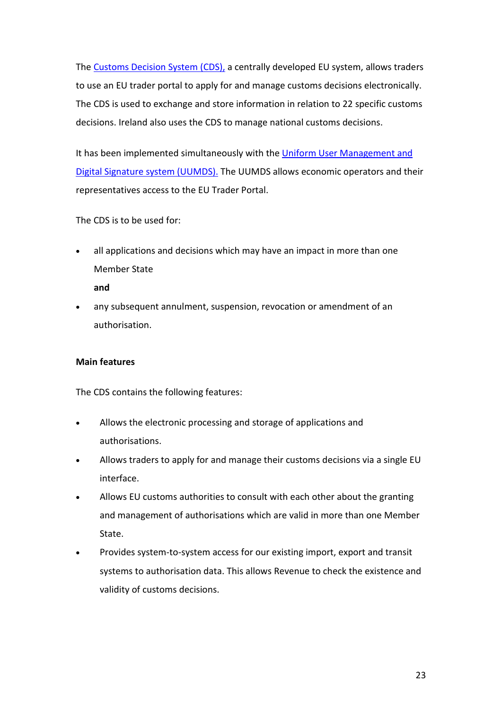The [Customs Decision System \(CDS\),](https://www.revenue.ie/en/customs-traders-and-agents/customs-electronic-systems/customs-decisions-system/index.aspx) a centrally developed EU system, allows traders to use an EU trader portal to apply for and manage customs decisions electronically. The CDS is used to exchange and store information in relation to 22 specific customs decisions. Ireland also uses the CDS to manage national customs decisions.

It has been implemented simultaneously with the [Uniform User Management and](https://ec.europa.eu/taxation_customs/system/files/2017-09/2._eo_manual_uumds_0.2_en_.pdf)  [Digital Signature system \(UUMDS\).](https://ec.europa.eu/taxation_customs/system/files/2017-09/2._eo_manual_uumds_0.2_en_.pdf) The UUMDS allows economic operators and their representatives access to the EU Trader Portal.

The CDS is to be used for:

• all applications and decisions which may have an impact in more than one Member State

**and**

• any subsequent annulment, suspension, revocation or amendment of an authorisation.

# **Main features**

The CDS contains the following features:

- Allows the electronic processing and storage of applications and authorisations.
- Allows traders to apply for and manage their customs decisions via a single EU interface.
- Allows EU customs authorities to consult with each other about the granting and management of authorisations which are valid in more than one Member State.
- Provides system-to-system access for our existing import, export and transit systems to authorisation data. This allows Revenue to check the existence and validity of customs decisions.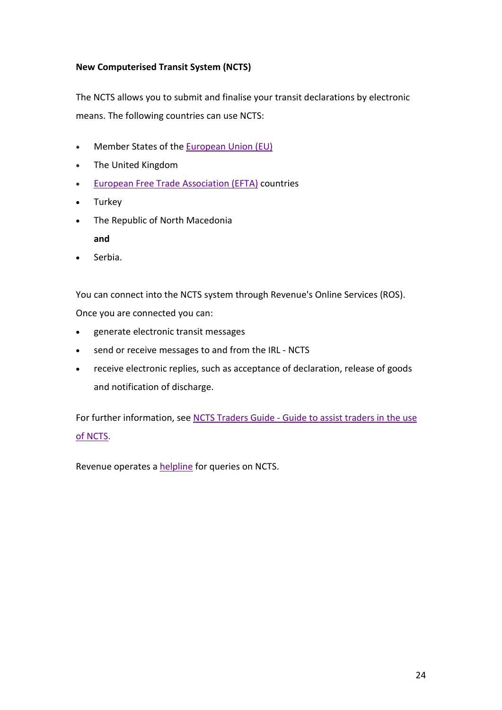# **New Computerised Transit System (NCTS)**

The NCTS allows you to submit and finalise your transit declarations by electronic means. The following countries can use NCTS:

- Member States of the [European Union \(EU\)](https://europa.eu/european-union/about-eu/countries_en)
- The United Kingdom
- [European Free Trade](http://www.efta.int/about-efta/the-efta-states) Association (EFTA) countries
- Turkey
- The Republic of North Macedonia
	- **and**
- Serbia.

You can connect into the NCTS system through Revenue's Online Services (ROS). Once you are connected you can:

- generate electronic transit messages
- send or receive messages to and from the IRL NCTS
- receive electronic replies, such as acceptance of declaration, release of goods and notification of discharge.

For further information, see NCTS Traders Guide - [Guide to assist traders in](https://www.revenue.ie/en/customs-traders-and-agents/documents/electronic/ncts-trader-guide.pdf) the use [of NCTS.](https://www.revenue.ie/en/customs-traders-and-agents/documents/electronic/ncts-trader-guide.pdf)

Revenue operates a [helpline](https://www.revenue.ie/en/contact-us/customs-ports-and-airports/eCustoms-Technical-Support.aspx) for queries on NCTS.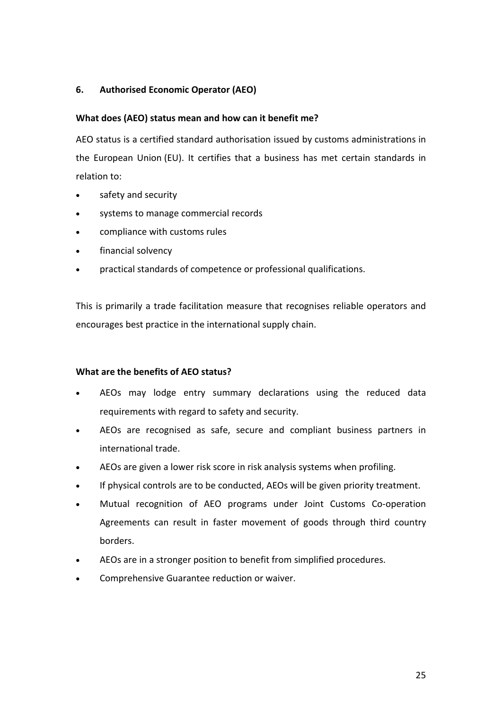# <span id="page-24-0"></span>**6. Authorised Economic Operator (AEO)**

#### <span id="page-24-1"></span>**What does (AEO) status mean and how can it benefit me?**

AEO status is a certified standard authorisation issued by customs administrations in the [European Union](https://europa.eu/european-union/about-eu/countries_en) (EU). It certifies that a business has met certain standards in relation to:

- safety and security
- systems to manage commercial records
- compliance with customs rules
- financial solvency
- practical standards of competence or professional qualifications.

This is primarily a trade facilitation measure that recognises reliable operators and encourages best practice in the international supply chain.

#### <span id="page-24-2"></span>**What are the benefits of AEO status?**

- AEOs may lodge entry summary declarations using the reduced data requirements with regard to safety and security.
- AEOs are recognised as safe, secure and compliant business partners in international trade.
- AEOs are given a lower risk score in risk analysis systems when profiling.
- If physical controls are to be conducted, AEOs will be given priority treatment.
- Mutual recognition of AEO programs under Joint Customs Co-operation Agreements can result in faster movement of goods through third country borders.
- AEOs are in a stronger position to benefit from simplified procedures.
- Comprehensive Guarantee reduction or waiver.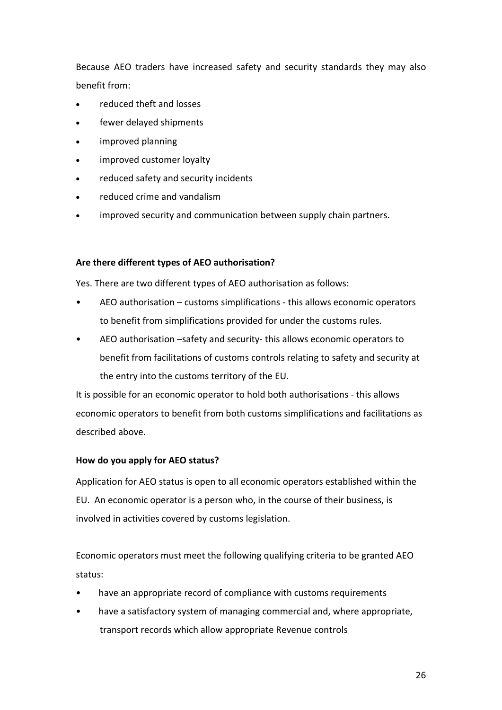Because AEO traders have increased safety and security standards they may also benefit from:

- reduced theft and losses
- fewer delayed shipments
- improved planning
- improved customer loyalty
- reduced safety and security incidents
- reduced crime and vandalism
- improved security and communication between supply chain partners.

## <span id="page-25-0"></span>**Are there different types of AEO authorisation?**

Yes. There are two different types of AEO authorisation as follows:

- AEO authorisation customs simplifications this allows economic operators to benefit from simplifications provided for under the customs rules.
- AEO authorisation –safety and security- this allows economic operators to benefit from facilitations of customs controls relating to safety and security at the entry into the customs territory of the EU.

It is possible for an economic operator to hold both authorisations - this allows economic operators to benefit from both customs simplifications and facilitations as described above.

# <span id="page-25-1"></span>**How do you apply for AEO status?**

Application for AEO status is open to all economic operators established within the EU. An economic operator is a person who, in the course of their business, is involved in activities covered by customs legislation.

Economic operators must meet the following qualifying criteria to be granted AEO status:

- have an appropriate record of compliance with customs requirements
- have a satisfactory system of managing commercial and, where appropriate, transport records which allow appropriate Revenue controls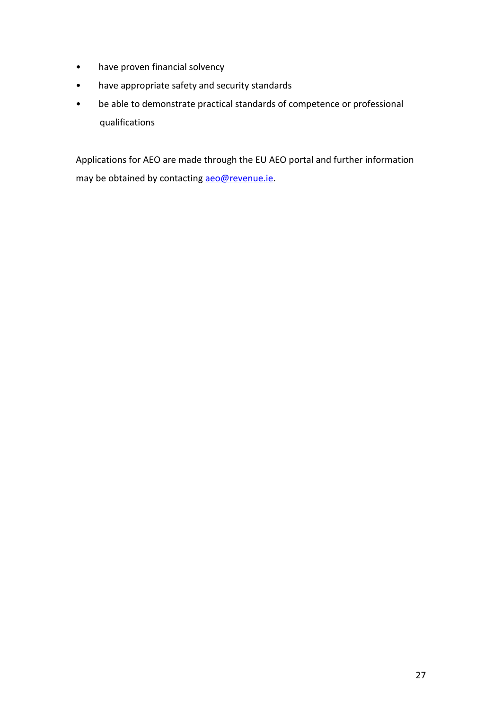- have proven financial solvency
- have appropriate safety and security standards
- be able to demonstrate practical standards of competence or professional qualifications

Applications for AEO are made through the EU AEO portal and further information may be obtained by contacting [aeo@revenue.ie.](mailto:aeo@revenue.ie)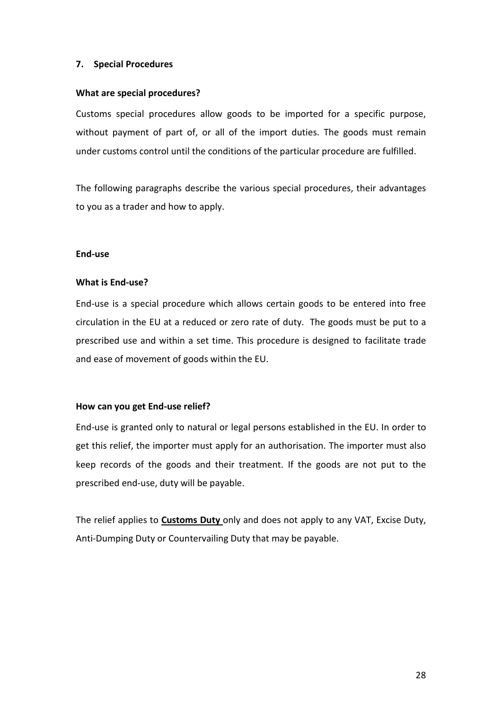## <span id="page-27-0"></span>**7. Special Procedures**

#### <span id="page-27-1"></span>**What are special procedures?**

Customs special procedures allow goods to be imported for a specific purpose, without payment of part of, or all of the import duties. The goods must remain under customs control until the conditions of the particular procedure are fulfilled.

The following paragraphs describe the various special procedures, their advantages to you as a trader and how to apply.

#### <span id="page-27-2"></span>**End-use**

#### <span id="page-27-3"></span>**What is End-use?**

End-use is a special procedure which allows certain goods to be entered into free circulation in the EU at a reduced or zero rate of duty. The goods must be put to a prescribed use and within a set time. This procedure is designed to facilitate trade and ease of movement of goods within the EU.

#### <span id="page-27-4"></span>**How can you get End-use relief?**

End-use is granted only to natural or legal persons established in the EU. In order to get this relief, the importer must apply for an authorisation. The importer must also keep records of the goods and their treatment. If the goods are not put to the prescribed end-use, duty will be payable.

The relief applies to **Customs Duty** only and does not apply to any VAT, Excise Duty, Anti-Dumping Duty or Countervailing Duty that may be payable.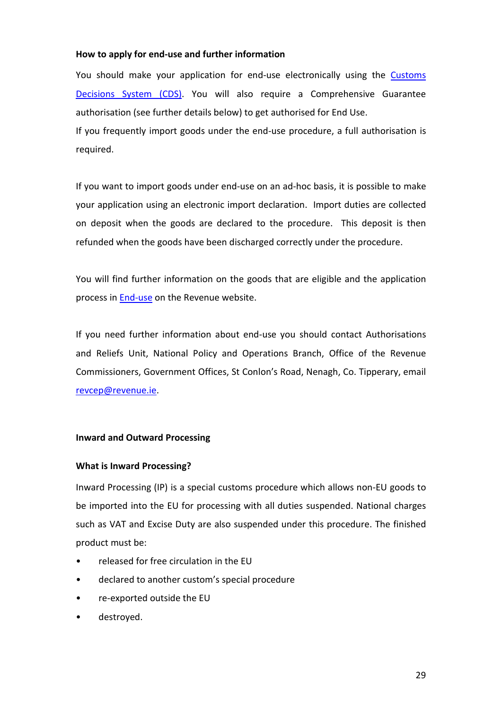#### <span id="page-28-0"></span>**How to apply for end-use and further information**

You should make your application for end-use electronically using the [Customs](https://www.revenue.ie/en/customs-traders-and-agents/customs-electronic-systems/customs-decisions-system/index.aspx)  Decisions [System \(CDS\).](https://www.revenue.ie/en/customs-traders-and-agents/customs-electronic-systems/customs-decisions-system/index.aspx) You will also require a Comprehensive Guarantee authorisation (see further details below) to get authorised for End Use.

If you frequently import goods under the end-use procedure, a full authorisation is required.

If you want to import goods under end-use on an ad-hoc basis, it is possible to make your application using an electronic import declaration. Import duties are collected on deposit when the goods are declared to the procedure. This deposit is then refunded when the goods have been discharged correctly under the procedure.

You will find further information on the goods that are eligible and the application process i[n End-use](https://www.revenue.ie/en/customs-traders-and-agents/processing-goods-enduse-and-warehousing/end-use.aspx) on the Revenue website.

If you need further information about end-use you should contact Authorisations and Reliefs Unit, National Policy and Operations Branch, Office of the Revenue Commissioners, Government Offices, St Conlon's Road, Nenagh, Co. Tipperary, email [revcep@revenue.ie.](mailto:revcep@revenue.ie)

#### <span id="page-28-1"></span>**Inward and Outward Processing**

#### <span id="page-28-2"></span>**What is Inward Processing?**

Inward Processing (IP) is a special customs procedure which allows non-EU goods to be imported into the EU for processing with all duties suspended. National charges such as VAT and Excise Duty are also suspended under this procedure. The finished product must be:

- released for free circulation in the EU
- declared to another custom's special procedure
- re-exported outside the EU
- destroyed.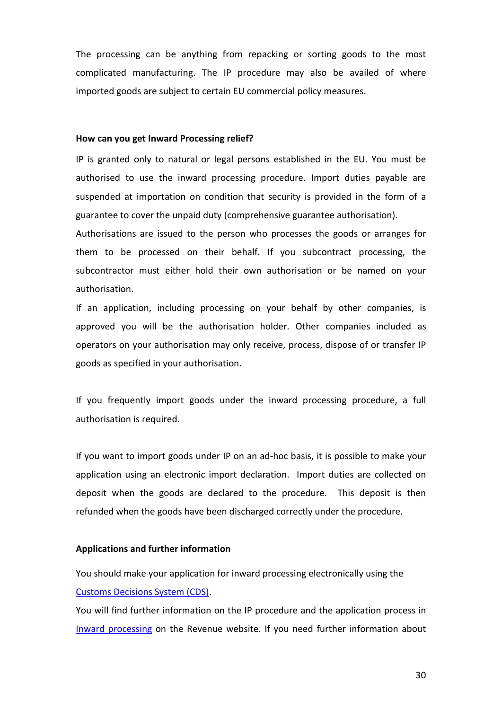The processing can be anything from repacking or sorting goods to the most complicated manufacturing. The IP procedure may also be availed of where imported goods are subject to certain EU commercial policy measures.

#### <span id="page-29-0"></span>**How can you get Inward Processing relief?**

IP is granted only to natural or legal persons established in the EU. You must be authorised to use the inward processing procedure. Import duties payable are suspended at importation on condition that security is provided in the form of a guarantee to cover the unpaid duty (comprehensive guarantee authorisation).

Authorisations are issued to the person who processes the goods or arranges for them to be processed on their behalf. If you subcontract processing, the subcontractor must either hold their own authorisation or be named on your authorisation.

If an application, including processing on your behalf by other companies, is approved you will be the authorisation holder. Other companies included as operators on your authorisation may only receive, process, dispose of or transfer IP goods as specified in your authorisation.

If you frequently import goods under the inward processing procedure, a full authorisation is required.

If you want to import goods under IP on an ad-hoc basis, it is possible to make your application using an electronic import declaration. Import duties are collected on deposit when the goods are declared to the procedure. This deposit is then refunded when the goods have been discharged correctly under the procedure.

#### **Applications and further information**

You should make your application for inward processing electronically using the [Customs Decisions System \(CDS\).](https://www.revenue.ie/en/customs-traders-and-agents/customs-electronic-systems/customs-decisions-system/index.aspx)

You will find further information on the IP procedure and the application process in [Inward processing](https://www.revenue.ie/en/customs-traders-and-agents/processing-goods-enduse-and-warehousing/inward-processing.aspx) on the Revenue website. If you need further information about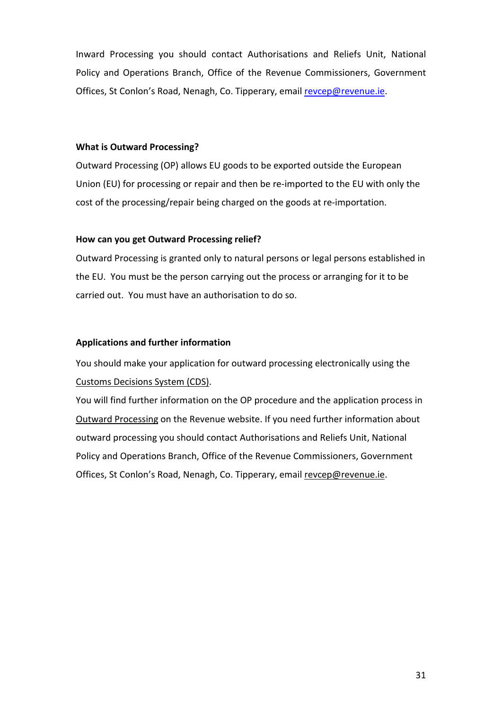Inward Processing you should contact Authorisations and Reliefs Unit, National Policy and Operations Branch, Office of the Revenue Commissioners, Government Offices, St Conlon's Road, Nenagh, Co. Tipperary, email [revcep@revenue.ie.](mailto:revcep@revenue.ie)

#### **What is Outward Processing?**

Outward Processing (OP) allows EU goods to be exported outside the European Union (EU) for processing or repair and then be re-imported to the EU with only the cost of the processing/repair being charged on the goods at re-importation.

#### **How can you get Outward Processing relief?**

Outward Processing is granted only to natural persons or legal persons established in the EU. You must be the person carrying out the process or arranging for it to be carried out. You must have an authorisation to do so.

## <span id="page-30-0"></span>**Applications and further information**

You should make your application for outward processing electronically using the [Customs Decisions System \(CDS\).](https://www.revenue.ie/en/customs-traders-and-agents/customs-electronic-systems/customs-decisions-system/index.aspx)

You will find further information on the OP procedure and the application process in [Outward Processing](https://www.revenue.ie/en/customs-traders-and-agents/processing-goods-enduse-and-warehousing/outward-processing.aspx) on the Revenue website. If you need further information about outward processing you should contact Authorisations and Reliefs Unit, National Policy and Operations Branch, Office of the Revenue Commissioners, Government Offices, St Conlon's Road, Nenagh, Co. Tipperary, email [revcep@revenue.ie.](mailto:revcep@revenue.ie)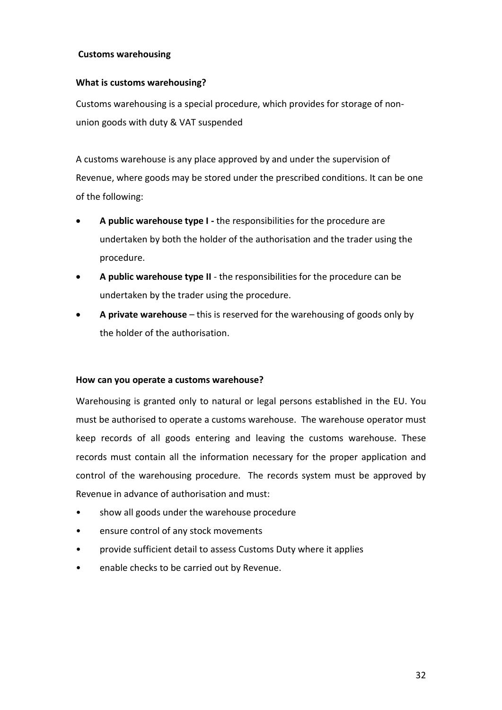## <span id="page-31-0"></span>**Customs warehousing**

## <span id="page-31-1"></span>**What is customs warehousing?**

Customs warehousing is a special procedure, which provides for storage of nonunion goods with duty & VAT suspended

A customs warehouse is any place approved by and under the supervision of Revenue, where goods may be stored under the prescribed conditions. It can be one of the following:

- **A public warehouse type I -** the responsibilities for the procedure are undertaken by both the holder of the authorisation and the trader using the procedure.
- **A public warehouse type II** the responsibilities for the procedure can be undertaken by the trader using the procedure.
- **A private warehouse** this is reserved for the warehousing of goods only by the holder of the authorisation.

#### <span id="page-31-2"></span>**How can you operate a customs warehouse?**

Warehousing is granted only to natural or legal persons established in the EU. You must be authorised to operate a customs warehouse. The warehouse operator must keep records of all goods entering and leaving the customs warehouse. These records must contain all the information necessary for the proper application and control of the warehousing procedure. The records system must be approved by Revenue in advance of authorisation and must:

- show all goods under the warehouse procedure
- ensure control of any stock movements
- provide sufficient detail to assess Customs Duty where it applies
- enable checks to be carried out by Revenue.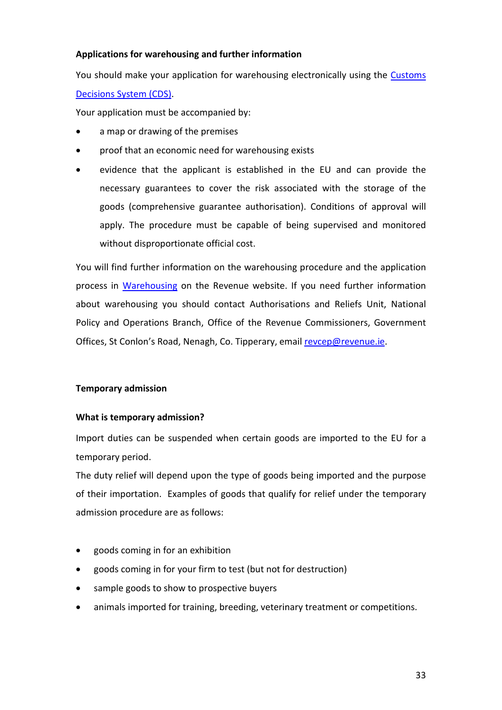## <span id="page-32-0"></span>**Applications for warehousing and further information**

You should make your application for warehousing electronically using the [Customs](https://www.revenue.ie/en/customs-traders-and-agents/customs-electronic-systems/customs-decisions-system/index.aspx)  [Decisions System \(CDS\).](https://www.revenue.ie/en/customs-traders-and-agents/customs-electronic-systems/customs-decisions-system/index.aspx)

Your application must be accompanied by:

- a map or drawing of the premises
- proof that an economic need for warehousing exists
- evidence that the applicant is established in the EU and can provide the necessary guarantees to cover the risk associated with the storage of the goods (comprehensive guarantee authorisation). Conditions of approval will apply. The procedure must be capable of being supervised and monitored without disproportionate official cost.

You will find further information on the warehousing procedure and the application process in [Warehousing](https://www.revenue.ie/en/customs-traders-and-agents/processing-goods-enduse-and-warehousing/warehousing.aspx) on the Revenue website. If you need further information about warehousing you should contact Authorisations and Reliefs Unit, National Policy and Operations Branch, Office of the Revenue Commissioners, Government Offices, St Conlon's Road, Nenagh, Co. Tipperary, email [revcep@revenue.ie.](mailto:revcep@revenue.ie)

#### <span id="page-32-1"></span>**Temporary admission**

#### <span id="page-32-2"></span>**What is temporary admission?**

Import duties can be suspended when certain goods are imported to the EU for a temporary period.

The duty relief will depend upon the type of goods being imported and the purpose of their importation. Examples of goods that qualify for relief under the temporary admission procedure are as follows:

- goods coming in for an exhibition
- goods coming in for your firm to test (but not for destruction)
- sample goods to show to prospective buyers
- animals imported for training, breeding, veterinary treatment or competitions.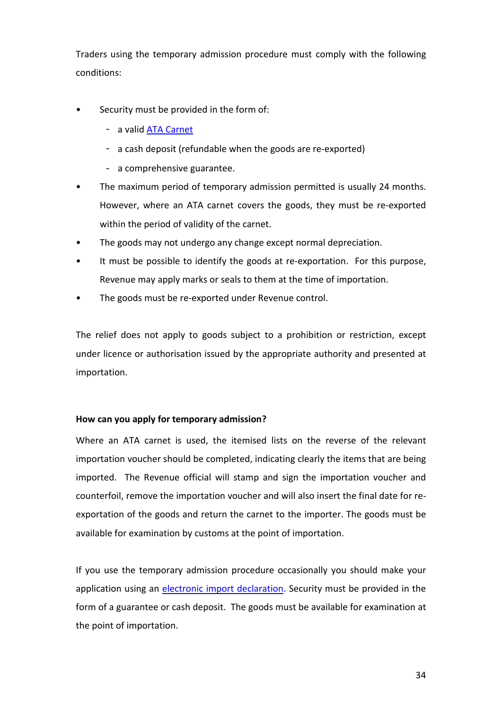Traders using the temporary admission procedure must comply with the following conditions:

- Security must be provided in the form of:
	- a valid [ATA Carnet](https://www.revenue.ie/en/customs-traders-and-agents/temporary-admission/ata-carnets-temporary-admission-and-export-of-certain-goods/index.aspx)
	- a cash deposit (refundable when the goods are re-exported)
	- a comprehensive guarantee.
- The maximum period of temporary admission permitted is usually 24 months. However, where an ATA carnet covers the goods, they must be re-exported within the period of validity of the carnet.
- The goods may not undergo any change except normal depreciation.
- It must be possible to identify the goods at re-exportation. For this purpose, Revenue may apply marks or seals to them at the time of importation.
- The goods must be re-exported under Revenue control.

The relief does not apply to goods subject to a prohibition or restriction, except under licence or authorisation issued by the appropriate authority and presented at importation.

#### <span id="page-33-0"></span>**How can you apply for temporary admission?**

Where an ATA carnet is used, the itemised lists on the reverse of the relevant importation voucher should be completed, indicating clearly the items that are being imported. The Revenue official will stamp and sign the importation voucher and counterfoil, remove the importation voucher and will also insert the final date for reexportation of the goods and return the carnet to the importer. The goods must be available for examination by customs at the point of importation.

If you use the temporary admission procedure occasionally you should make your application using an [electronic import](https://www.revenue.ie/en/customs-traders-and-agents/temporary-admission/temporary-admission-rules-and-procedures/apply-for-temporary-admission-electronically.aspx) declaration. Security must be provided in the form of a guarantee or cash deposit. The goods must be available for examination at the point of importation.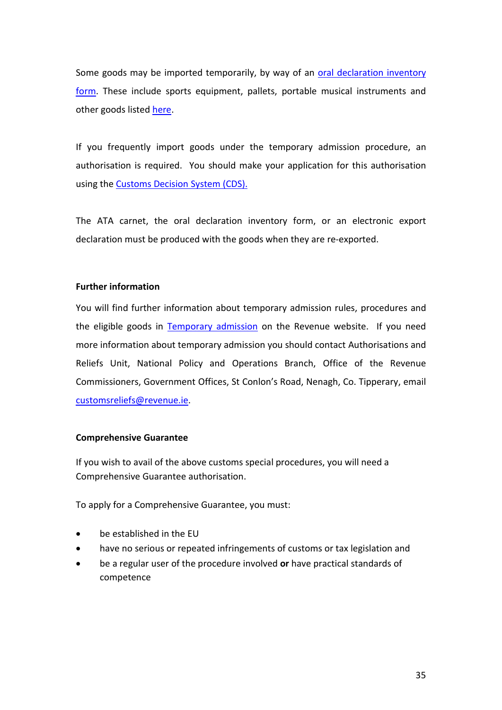Some goods may be imported temporarily, by way of an [oral declaration inventory](https://www.revenue.ie/en/importing-vehicles-duty-free-allowances/documents/customs/inventory-support-oral-customs-declaration.pdf)  [form.](https://www.revenue.ie/en/importing-vehicles-duty-free-allowances/documents/customs/inventory-support-oral-customs-declaration.pdf) These include sports equipment, pallets, portable musical instruments and other goods liste[d here.](https://www.revenue.ie/en/customs-traders-and-agents/temporary-admission/temporary-admission-rules-and-procedures/temporary-admission-by-oral-customs-declaration.aspx)

If you frequently import goods under the temporary admission procedure, an authorisation is required. You should make your application for this authorisation using the [Customs Decision System \(CDS\).](https://www.revenue.ie/en/customs-traders-and-agents/temporary-admission/temporary-admission-rules-and-procedures/apply-for-temporary-admission-electronically.aspx)

The ATA carnet, the oral declaration inventory form, or an electronic export declaration must be produced with the goods when they are re-exported.

#### <span id="page-34-0"></span>**Further information**

You will find further information about temporary admission rules, procedures and the eligible goods in [Temporary admission](https://www.revenue.ie/en/customs-traders-and-agents/temporary-admission/index.aspx) on the Revenue website. If you need more information about temporary admission you should contact Authorisations and Reliefs Unit, National Policy and Operations Branch, Office of the Revenue Commissioners, Government Offices, St Conlon's Road, Nenagh, Co. Tipperary, email [customsreliefs@revenue.ie.](mailto:customsreliefs@revenue.ie)

#### **Comprehensive Guarantee**

If you wish to avail of the above customs special procedures, you will need a Comprehensive Guarantee authorisation.

To apply for a Comprehensive Guarantee, you must:

- be established in the EU
- have no serious or repeated infringements of customs or tax legislation and
- be a regular user of the procedure involved **or** have practical standards of competence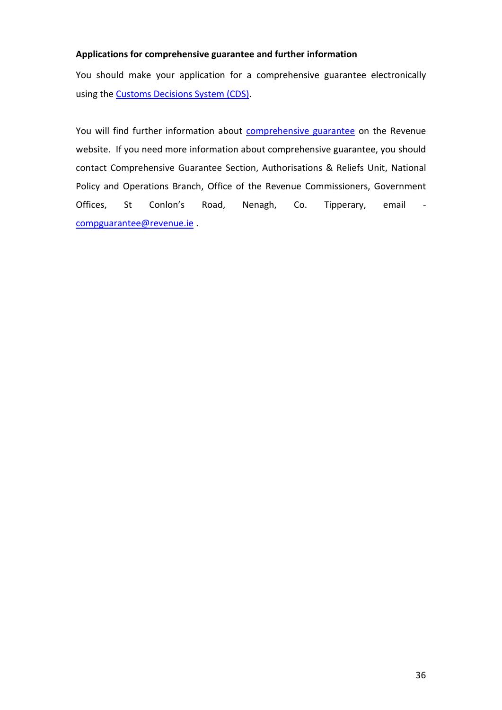## <span id="page-35-0"></span>**Applications for comprehensive guarantee and further information**

You should make your application for a comprehensive guarantee electronically using the [Customs Decisions System \(CDS\).](https://www.revenue.ie/en/customs-traders-and-agents/customs-electronic-systems/customs-decisions-system/index.aspx)

You will find further information about **comprehensive guarantee** on the Revenue website. If you need more information about comprehensive guarantee, you should contact Comprehensive Guarantee Section, Authorisations & Reliefs Unit, National Policy and Operations Branch, Office of the Revenue Commissioners, Government Offices, St Conlon's Road, Nenagh, Co. Tipperary, email [compguarantee@revenue.ie](mailto:compguarantee@revenue.ie) .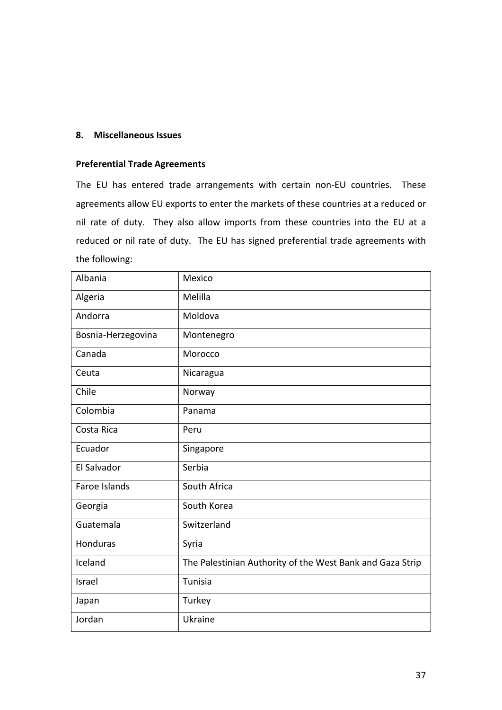#### <span id="page-36-0"></span>**8. Miscellaneous Issues**

#### <span id="page-36-1"></span>**Preferential Trade Agreements**

The EU has entered trade arrangements with certain non-EU countries. These agreements allow EU exports to enter the markets of these countries at a reduced or nil rate of duty. They also allow imports from these countries into the EU at a reduced or nil rate of duty. The EU has signed preferential trade agreements with the following:

| Albania            | Mexico                                                    |
|--------------------|-----------------------------------------------------------|
| Algeria            | Melilla                                                   |
| Andorra            | Moldova                                                   |
| Bosnia-Herzegovina | Montenegro                                                |
| Canada             | Morocco                                                   |
| Ceuta              | Nicaragua                                                 |
| Chile              | Norway                                                    |
| Colombia           | Panama                                                    |
| Costa Rica         | Peru                                                      |
| Ecuador            | Singapore                                                 |
| El Salvador        | Serbia                                                    |
| Faroe Islands      | South Africa                                              |
| Georgia            | South Korea                                               |
| Guatemala          | Switzerland                                               |
| Honduras           | Syria                                                     |
| Iceland            | The Palestinian Authority of the West Bank and Gaza Strip |
| Israel             | Tunisia                                                   |
| Japan              | Turkey                                                    |
| Jordan             | Ukraine                                                   |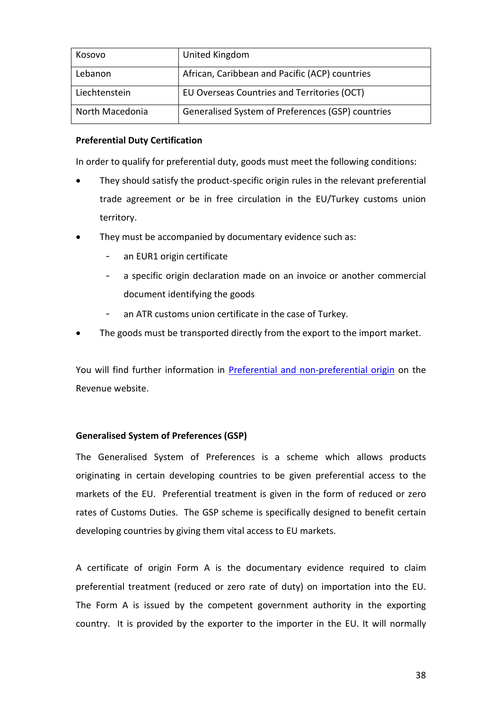| Kosovo          | United Kingdom                                    |
|-----------------|---------------------------------------------------|
| Lebanon         | African, Caribbean and Pacific (ACP) countries    |
| Liechtenstein   | EU Overseas Countries and Territories (OCT)       |
| North Macedonia | Generalised System of Preferences (GSP) countries |

## <span id="page-37-0"></span>**Preferential Duty Certification**

In order to qualify for preferential duty, goods must meet the following conditions:

- They should satisfy the product-specific origin rules in the relevant preferential trade agreement or be in free circulation in the EU/Turkey customs union territory.
- They must be accompanied by documentary evidence such as:
	- an EUR1 origin certificate
	- a specific origin declaration made on an invoice or another commercial document identifying the goods
	- an ATR customs union certificate in the case of Turkey.
- The goods must be transported directly from the export to the import market.

You will find further information in [Preferential and non-preferential origin](https://www.revenue.ie/en/customs-traders-and-agents/importing-and-exporting/origin/preferential-and-nonpreferential-origin/index.aspx) on the Revenue website.

# <span id="page-37-1"></span>**Generalised System of Preferences (GSP)**

The Generalised System of Preferences is a scheme which allows products originating in certain developing countries to be given preferential access to the markets of the EU. Preferential treatment is given in the form of reduced or zero rates of Customs Duties. The GSP scheme is specifically designed to benefit certain developing countries by giving them vital access to EU markets.

A certificate of origin Form A is the documentary evidence required to claim preferential treatment (reduced or zero rate of duty) on importation into the EU. The Form A is issued by the competent government authority in the exporting country. It is provided by the exporter to the importer in the EU. It will normally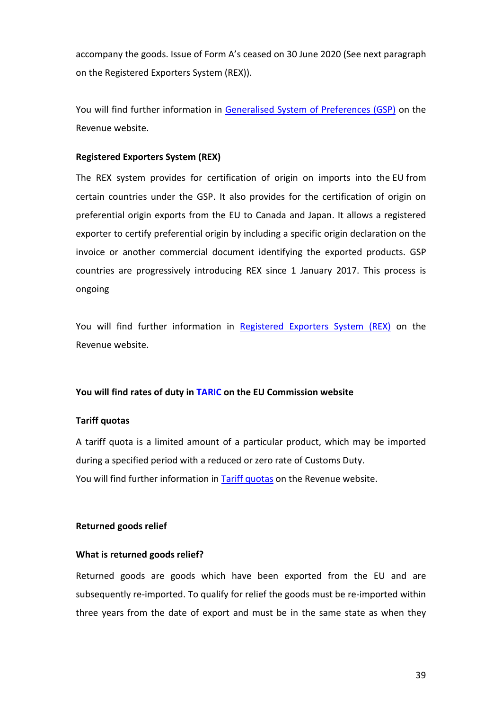accompany the goods. Issue of Form A's ceased on 30 June 2020 (See next paragraph on the Registered Exporters System (REX)).

You will find further information in [Generalised System of Preferences \(GSP\)](https://www.revenue.ie/en/customs-traders-and-agents/importing-and-exporting/origin/generalised-system-of-preferences-gsp.aspx) on the Revenue website.

## <span id="page-38-0"></span>**Registered Exporters System (REX)**

The REX system provides for certification of origin on imports into the EU from certain countries under the GSP. It also provides for the certification of origin on preferential origin exports from the EU to Canada and Japan. It allows a registered exporter to certify preferential origin by including a specific origin declaration on the invoice or another commercial document identifying the exported products. GSP countries are progressively introducing REX since 1 January 2017. This process is ongoing

You will find further information in [Registered Exporters System \(REX\)](https://www.revenue.ie/en/customs-traders-and-agents/importing-and-exporting/origin/registered-exporters-system-rex.aspx) on the Revenue website.

#### <span id="page-38-1"></span>**You will find rates of duty in [TARIC](http://ec.europa.eu/taxation_customs/dds2/taric/taric_consultation.jsp?Lang=en) on the EU Commission website**

#### <span id="page-38-2"></span>**Tariff quotas**

A tariff quota is a limited amount of a particular product, which may be imported during a specified period with a reduced or zero rate of Customs Duty. You will find further information in **Tariff quotas** on the Revenue website.

#### <span id="page-38-3"></span>**Returned goods relief**

#### <span id="page-38-4"></span>**What is returned goods relief?**

Returned goods are goods which have been exported from the EU and are subsequently re-imported. To qualify for relief the goods must be re-imported within three years from the date of export and must be in the same state as when they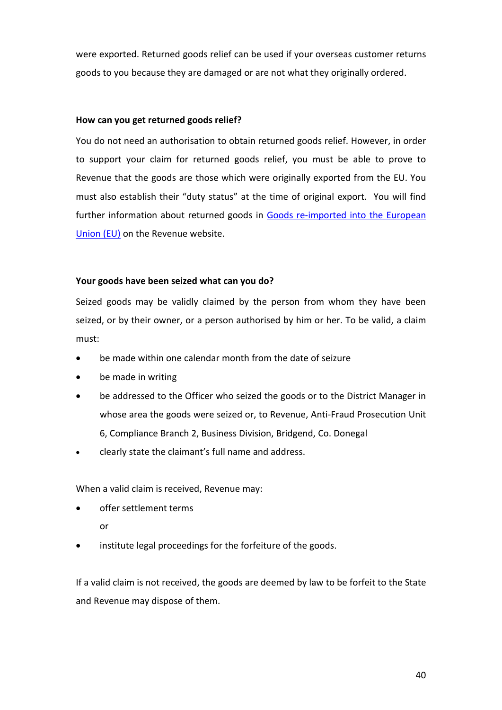were exported. Returned goods relief can be used if your overseas customer returns goods to you because they are damaged or are not what they originally ordered.

#### <span id="page-39-0"></span>**How can you get returned goods relief?**

You do not need an authorisation to obtain returned goods relief. However, in order to support your claim for returned goods relief, you must be able to prove to Revenue that the goods are those which were originally exported from the EU. You must also establish their "duty status" at the time of original export. You will find further information about returned goods in [Goods re-imported into the European](https://www.revenue.ie/en/customs-traders-and-agents/relief-from-customs-duty-and-vat/goods-reimported-into-the-european-union/procedure-at-re-importation-of-exported-goods.aspx)  [Union \(EU\)](https://www.revenue.ie/en/customs-traders-and-agents/relief-from-customs-duty-and-vat/goods-reimported-into-the-european-union/procedure-at-re-importation-of-exported-goods.aspx) on the Revenue website.

#### <span id="page-39-1"></span>**Your goods have been seized what can you do?**

Seized goods may be validly claimed by the person from whom they have been seized, or by their owner, or a person authorised by him or her. To be valid, a claim must:

- be made within one calendar month from the date of seizure
- be made in writing
- be addressed to the Officer who seized the goods or to the District Manager in whose area the goods were seized or, to Revenue, Anti-Fraud Prosecution Unit 6, Compliance Branch 2, Business Division, Bridgend, Co. Donegal
- clearly state the claimant's full name and address.

When a valid claim is received, Revenue may:

- offer settlement terms
	- or
- institute legal proceedings for the forfeiture of the goods.

If a valid claim is not received, the goods are deemed by law to be forfeit to the State and Revenue may dispose of them.